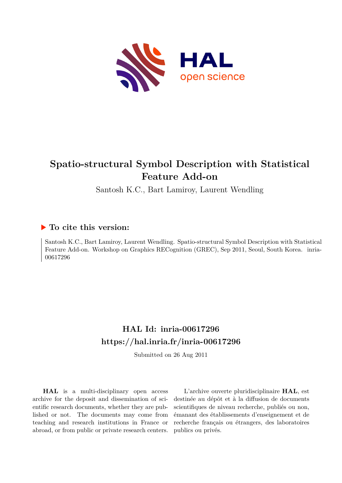

# **Spatio-structural Symbol Description with Statistical Feature Add-on**

Santosh K.C., Bart Lamiroy, Laurent Wendling

# **To cite this version:**

Santosh K.C., Bart Lamiroy, Laurent Wendling. Spatio-structural Symbol Description with Statistical Feature Add-on. Workshop on Graphics RECognition (GREC), Sep 2011, Seoul, South Korea. inria-00617296ff

# **HAL Id: inria-00617296 <https://hal.inria.fr/inria-00617296>**

Submitted on 26 Aug 2011

**HAL** is a multi-disciplinary open access archive for the deposit and dissemination of scientific research documents, whether they are published or not. The documents may come from teaching and research institutions in France or abroad, or from public or private research centers.

L'archive ouverte pluridisciplinaire **HAL**, est destinée au dépôt et à la diffusion de documents scientifiques de niveau recherche, publiés ou non, émanant des établissements d'enseignement et de recherche français ou étrangers, des laboratoires publics ou privés.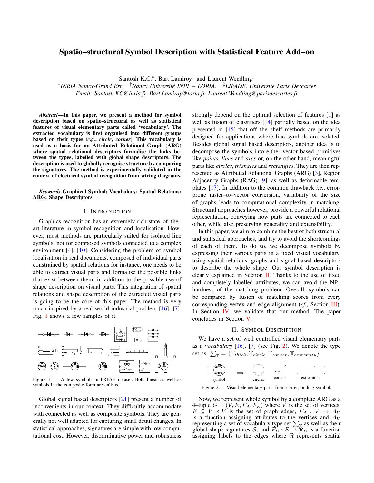# Spatio–structural Symbol Description with Statistical Feature Add–on

Santosh K.C.<sup>\*</sup>, Bart Lamiroy<sup>†</sup> and Laurent Wendling<sup>‡</sup>

∗ *INRIA Nancy-Grand Est,* †*Nancy Universite INPL – LORIA, ´* ‡*LIPADE, Universite Paris Descartes ´ Email: Santosh.KC@inria.fr, Bart.Lamiroy@loria.fr, Laurent.Wendling@parisdescartes.fr*

*Abstract*—In this paper, we present a method for symbol description based on spatio–structural as well as statistical features of visual elementary parts called 'vocabulary'. The extracted vocabulary is first organised into different groups based on their types (*e.g.*, *circle*, *corner*). This vocabulary is used as a basis for an Attributed Relational Graph (ARG) where spatial relational descriptors formalise the links between the types, labelled with global shape descriptors. The description is used to globally recognise structure by comparing the signatures. The method is experimentally validated in the context of electrical symbol recognition from wiring diagrams.

*Keywords*-Graphical Symbol; Vocabulary; Spatial Relations; ARG; Shape Descriptors.

### I. INTRODUCTION

Graphics recognition has an extremely rich state–of–the– art literature in symbol recognition and localisation. However, most methods are particularly suited for isolated line symbols, not for composed symbols connected to a complex environment [\[4\]](#page-4-0), [\[10\]](#page-4-1). Considering the problem of symbol localisation in real documents, composed of individual parts constrained by spatial relations for instance, one needs to be able to extract visual parts and formalise the possible links that exist between them, in addition to the possible use of shape description on visual parts. This integration of spatial relations and shape description of the extracted visual parts is going to be the core of this paper. The method is very much inspired by a real world industrial problem [\[16\]](#page-4-2), [\[7\]](#page-4-3). Fig. [1](#page-1-0) shows a few samples of it.



<span id="page-1-0"></span>Figure 1. A few symbols in FRESH dataset. Both linear as well as symbols in the composite form are enlisted.

Global signal based descriptors [\[21\]](#page-4-4) present a number of inconvenients in our context. They difficultly accommodate with connected as well as composite symbols. They are generally not well adapted for capturing small detail changes. In statistical approaches, signatures are simple with low computational cost. However, discriminative power and robustness strongly depend on the optimal selection of features [\[1\]](#page-4-5) as well as fusion of classifiers [\[14\]](#page-4-6) partially based on the idea presented in [\[15\]](#page-4-7) that off–the–shelf methods are primarily designed for applications where line symbols are isolated. Besides global signal based descriptors, another idea is to decompose the symbols into either vector based primitives like *points*, *lines* and *arcs* or, on the other hand, meaningful parts like *circles*, *triangles* and *rectangles*. They are then represented as Attributed Relational Graphs (ARG) [\[3\]](#page-4-8), Region Adjacency Graphs (RAG) [\[9\]](#page-4-9), as well as deformable templates [\[17\]](#page-4-10). In addition to the common drawback *i.e.*, errorprone raster–to–vector conversion, variability of the size of graphs leads to computational complexity in matching. Structural approaches however, provide a powerful relational representation, conveying how parts are connected to each other, while also preserving generality and extensibility.

In this paper, we aim to combine the best of both structural and statistical approaches, and try to avoid the shortcomings of each of them. To do so, we decompose symbols by expressing their various parts in a fixed visual vocabulary, using spatial relations, graphs and signal based descriptors to describe the whole shape. Our symbol description is clearly explained in Section [II.](#page-1-1) Thanks to the use of fixed and completely labelled attributes, we can avoid the NP– hardness of the matching problem. Overall, symbols can be compared by fusion of matching scores from every corresponding vertex and edge alignment (*cf.*, Section [III\)](#page-2-0). In Section [IV,](#page-2-1) we validate that our method. The paper concludes in Section [V.](#page-3-0)

#### II. SYMBOL DESCRIPTION

<span id="page-1-1"></span>We have a set of well controlled visual elementary parts as a *vocabulary* [\[16\]](#page-4-2), [\[7\]](#page-4-3) (see Fig. [2\)](#page-1-2). We denote the type set as,  $\sum_{\mathbb{T}} = {\mathbb{T}_{thick}, \mathbb{T}_{circle}, \mathbb{T}_{corner}, \mathbb{T}_{extremity}}$ .



<span id="page-1-2"></span>Figure 2. Visual elementary parts from corresponding symbol.

Now, we represent whole symbol by a complete ARG as a 4–tuple  $G = (V, E, F_A, F_E)$  where V is the set of vertices,  $E \subseteq V \times V$  is the set of graph edges,  $F_A: V \to A_V$ is a function assigning attributes to the vertices and  $A_V$ representing a set of vocabulary type set  $\sum_{\mathbb{T}}$  as well as their global shape signatures S, and  $F_E : E \to \Re_E$  is a function assigning labels to the edges where  $\Re$  represents spatial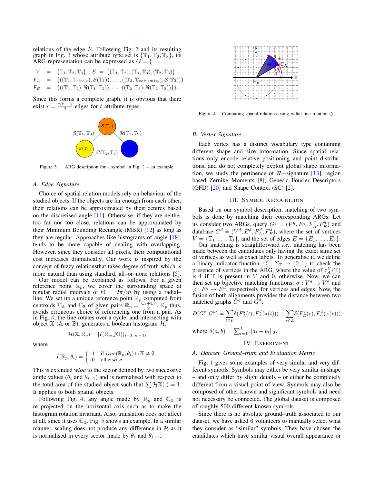relations of the edge  $E$ . Following Fig. [2](#page-1-2) and its resulting graph in Fig. [3](#page-2-2) whose attribute type set is  $\{\mathbb{T}_1, \mathbb{T}_2, \mathbb{T}_3\}$ , its ARG representation can be expressed as  $G = \{$ 

$$
V = \{\mathbb{T}_1, \mathbb{T}_2, \mathbb{T}_3\}, E = \{(\mathbb{T}_1, \mathbb{T}_2), (\mathbb{T}_1, \mathbb{T}_3), (\mathbb{T}_2, \mathbb{T}_3)\},
$$
  
\n
$$
F_A = \{((\mathbb{T}_1, \mathbb{T}_{circle}), \mathcal{S}(\mathbb{T}_1)), \dots, ((\mathbb{T}_3, \mathbb{T}_{extremity}), \mathcal{S}(\mathbb{T}_3))\}
$$
  
\n
$$
F_E = \{((\mathbb{T}_1, \mathbb{T}_2), \mathbb{R}(\mathbb{T}_1, \mathbb{T}_2)), \dots, ((\mathbb{T}_2, \mathbb{T}_3), \mathbb{R}(\mathbb{T}_2, \mathbb{T}_3))\} \}.
$$

Since this forms a complete graph, it is obvious that there exist  $r = \frac{t(t-1)}{2}$  $\frac{-1}{2}$  edges for t attribute types.



<span id="page-2-2"></span>Figure 3. ARG description for a symbol in Fig. [2](#page-1-2) – an example.

## *A. Edge Signature*

where

Choice of spatial relation models rely on behaviour of the studied objects. If the objects are far enough from each other, their relations can be approximated by their centres based on the discretised angle [\[11\]](#page-4-11). Otherwise, if they are neither too far nor too close, relations can be approximated by their Minimum Bounding Rectangle (MBR) [\[12\]](#page-4-12) as long as they are regular. Approaches like histograms of angle [\[18\]](#page-4-13), tends to be more capable of dealing with overlapping. However, since they consider all pixels, their computational cost increases dramatically. Our work is inspired by the concept of fuzzy relationsthat takes degree of truth which is more natural than using standard, all–or–none relations [\[5\]](#page-4-14).

Our model can be explained as follows. For a given reference point  $\mathbb{R}_p$ , we cover the surrounding space at regular radial intervals of  $\Theta = 2\pi/m$  by using a radial– line. We set up a unique reference point  $\mathbb{R}_p$  computed from centroids  $\mathbb{C}_A$  and  $\mathbb{C}_B$  of given pairs  $\mathbb{R}_p = \frac{P_{\mathbb{C}_A} + \mathbb{C}_B}{2}$ .  $\mathbb{R}_p$  thus, avoids erroneous choice of referencing one from a pair. As in Fig. [4,](#page-2-3) the line rotates over a cycle, and intersecting with object  $\mathbb X$  (A or  $\mathbb B$ ), generates a boolean histogram  $\mathcal H$ ,

 $\mathcal{H}(\mathbb{X}, \mathbb{R}_p) = [I(\mathbb{R}_p, j\Theta)]_{j=0..m-1},$ 

$$
I(\mathbb{R}_p, \theta_i) = \begin{cases} 1 & \text{if } line(\mathbb{R}_p, \theta_i) \cap \mathbb{X} \neq \emptyset \\ 0 & \text{otherwise.} \end{cases}
$$

This is extended *wlog* to the sector defined by two successive angle values ( $\theta_i$  and  $\theta_{i+1}$ ) and is normalised with respect to the total area of the studied object such that  $\sum \mathcal{H}X(.) = 1$ . It applies to both spatial objects.

Following Fig. [4,](#page-2-3) any angle made by  $\mathbb{R}_p$  and  $\mathbb{C}_\mathbb{X}$  is re–projected on the horizontal axis such as to make the histogram rotation invariant. Also, translation does not affect at all, since it uses  $\mathbb{C}_{\mathbb{X}}$ . Fig. [5](#page-3-1) shows an example. In a similar manner, scaling does not produce any difference in  $H$  as it is normalised in every sector made by  $\theta_i$  and  $\theta_{i+1}$ .



<span id="page-2-3"></span>Figure 4. Computing spatial relations using radial-line rotation  $\circlearrowleft$ .

# *B. Vertex Signature*

Each vertex has a distinct vocabulary type containing different shape and size information. Since spatial relations only encode relative positioning and point distributions, and do not completely exploit global shape information, we study the pertinence of R−signature [\[13\]](#page-4-15), region based Zernike Moments [\[8\]](#page-4-16), Generic Fourier Descriptors (GFD) [\[20\]](#page-4-17) and Shape Context (SC) [\[2\]](#page-4-18).

#### III. SYMBOL RECOGNITION

<span id="page-2-0"></span>Based on our symbol description, matching of two symbols is done by matching their corresponding ARGs. Let us consider two ARGs, query  $G^q = (\tilde{V}^q, E^q, F_A^q, F_E^q)$  and database  $G^d = (V^d, E^d, F_A^d, F_E^d)$ , where the set of vertices  $V = {\mathbb{T}_1, \ldots, \mathbb{T}_t}$ , and the set of edges  $E = \{E_1, \ldots, E_r\}.$ 

Our matching is straightforward *i.e.*, matching has been made between the candidates only having the exact same set of vertices as well as exact labels. To generalise it, we define a binary indicator function  $\tau_A^V : \Sigma_{\mathbb{T}} \to \{0,1\}$  to check the presence of vertices in the ARG, where the value of  $\tau_A^V(\mathbb{T})$ is 1 if  $T$  is present in  $V$  and 0, otherwise. Now, we can then set up bijective matching functions:  $\sigma: V^q \to V^d$  and  $\varphi: E^q \to E^{d}$ , respectively for vertices and edges. Now, the fusion of both alignments provides the distance between two matched graphs  $\tilde{G}^q$  and  $\tilde{G}^d$ ,

$$
D(Gq, Gd) = \sum_{t \in V} \delta(F_A^q(t), F_A^d(\sigma(t))) + \sum_{r \in E} \delta(F_E^q(r), F_E^d(\varphi(r))),
$$
  
where  $\delta(a, b) = \sum_{t \in V} |a(t)|$ 

where  $\delta(a, b) = \sum_{l=1}^{L} ||a_l - b_l||_2$ .

# IV. EXPERIMENT

## <span id="page-2-1"></span>*A. Dataset, Ground–truth and Evaluation Metric*

Fig. [1](#page-1-0) gives some examples of very similar and very different symbols. Symbols may either be very similar in shape – and only differ by slight details – or either be completely different from a visual point of view. Symbols may also be composed of other known and significant symbols and need not necessary be connected. The global dataset is composed of roughly 500 different known symbols.

Since there is no absolute ground–truth associated to our dataset, we have asked 6 volunteers to manually select what they consider as "similar" symbols. They have chosen the candidates which have similar visual overall appearance or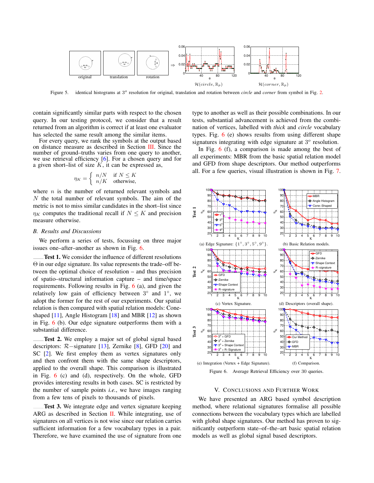

<span id="page-3-1"></span>Figure 5. identical histograms at 3<sup>o</sup> resolution for original, translation and rotation between *circle* and *corner* from symbol in Fig. [2.](#page-1-2)

contain significantly similar parts with respect to the chosen query. In our testing protocol, we consider that a result returned from an algorithm is correct if at least one evaluator has selected the same result among the similar items.

For every query, we rank the symbols at the output based on distance measure as described in Section [III.](#page-2-0) Since the number of ground–truths varies from one query to another, we use retrieval efficiency [\[6\]](#page-4-19). For a chosen query and for a given short–list of size  $K$ , it can be expressed as,

$$
\eta_K = \begin{cases} n/N & \text{if } N \le K \\ n/K & \text{otherwise,} \end{cases}
$$

where  $n$  is the number of returned relevant symbols and  $N$  the total number of relevant symbols. The aim of the metric is not to miss similar candidates in the short–list since  $\eta_K$  computes the traditional recall if  $N \leq K$  and precision measure otherwise.

#### *B. Results and Discussions*

We perform a series of tests, focussing on three major issues one–after–another as shown in Fig. [6.](#page-3-2)

Test 1. We consider the influence of different resolutions Θ in our edge signature. Its value represents the trade–off between the optimal choice of resolution – and thus precision of spatio–structural information capture – and time/space requirements. Following results in Fig. [6](#page-3-2) (a), and given the relatively low gain of efficiency between  $3^\circ$  and  $1^\circ$ , we adopt the former for the rest of our experiments. Our spatial relation is then compared with spatial relation models: Coneshaped [\[11\]](#page-4-11), Angle Histogram [\[18\]](#page-4-13) and MBR [\[12\]](#page-4-12) as shown in Fig. [6](#page-3-2) (b). Our edge signature outperforms them with a substantial difference.

Test 2. We employ a major set of global signal based descriptors:  $R$  -signature [\[13\]](#page-4-15), Zernike [\[8\]](#page-4-16), GFD [\[20\]](#page-4-17) and SC [\[2\]](#page-4-18). We first employ them as vertex signatures only and then confront them with the same shape descriptors, applied to the overall shape. This comparison is illustrated in Fig. [6](#page-3-2) (c) and (d), respectively. On the whole, GFD provides interesting results in both cases. SC is restricted by the number of sample points *i.e.*, we have images ranging from a few tens of pixels to thousands of pixels.

Test 3. We integrate edge and vertex signature keeping ARG as described in Section [II.](#page-1-1) While integrating, use of signatures on all vertices is not wise since our relation carries sufficient information for a few vocabulary types in a pair. Therefore, we have examined the use of signature from one type to another as well as their possible combinations. In our tests, substantial advancement is achieved from the combination of vertices, labelled with *thick* and *circle* vocabulary types. Fig. [6](#page-3-2) (e) shows results from using different shape signatures integrating with edge signature at  $3^\circ$  resolution.

In Fig. [6](#page-3-2) (f), a comparison is made among the best of all experiments: MBR from the basic spatial relation model and GFD from shape descriptors. Our method outperforms all. For a few queries, visual illustration is shown in Fig. [7.](#page-4-20)



<span id="page-3-2"></span>Figure 6. Average Retrieval Efficiency over 30 queries.

#### V. CONCLUSIONS AND FURTHER WORK

<span id="page-3-0"></span>We have presented an ARG based symbol description method, where relational signatures formalise all possible connections between the vocabulary types which are labelled with global shape signatures. Our method has proven to significantly outperform state–of–the–art basic spatial relation models as well as global signal based descriptors.